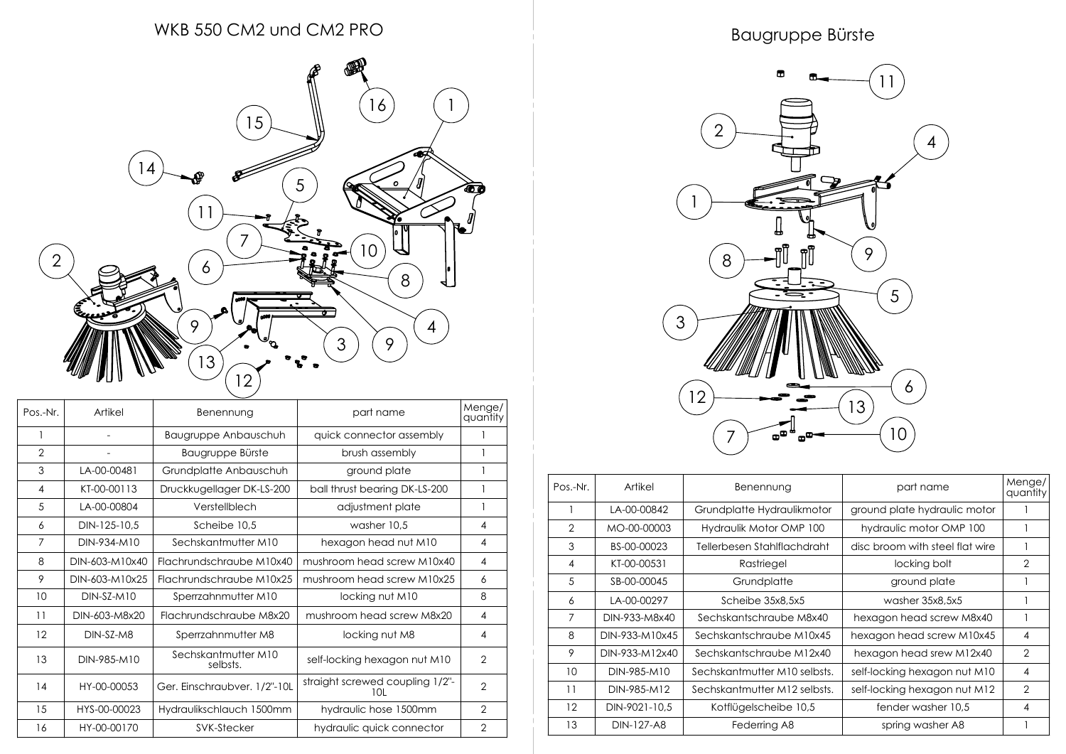## WKB 550 CM2 und CM2 PRO



| Pos.-Nr.       | Artikel        | Benennung                       | part name                              | Menge/<br>quantity |
|----------------|----------------|---------------------------------|----------------------------------------|--------------------|
|                |                | Baugruppe Anbauschuh            | quick connector assembly               |                    |
| $\overline{2}$ | $\overline{a}$ | Baugruppe Bürste                | brush assembly                         | 1                  |
| 3              | LA-00-00481    | Grundplatte Anbauschuh          | ground plate                           |                    |
| 4              | KT-00-00113    | Druckkugellager DK-LS-200       | ball thrust bearing DK-LS-200          |                    |
| 5              | LA-00-00804    | Verstellblech                   | adjustment plate                       | 1                  |
| 6              | DIN-125-10,5   | Scheibe 10,5                    | washer 10,5                            | 4                  |
| 7              | DIN-934-M10    | Sechskantmutter M10             | hexagon head nut M10                   | 4                  |
| 8              | DIN-603-M10x40 | Flachrundschraube M10x40        | mushroom head screw M10x40             | 4                  |
| 9              | DIN-603-M10x25 | Flachrundschraube M10x25        | mushroom head screw M10x25             | 6                  |
| 10             | $DIN-SZ-M10$   | Sperrzahnmutter M10             | locking nut M10                        | 8                  |
| 11             | DIN-603-M8x20  | Flachrundschraube M8x20         | mushroom head screw M8x20              | 4                  |
| 12             | DIN-SZ-M8      | Sperrzahnmutter M8              | locking nut M8                         | 4                  |
| 13             | DIN-985-M10    | Sechskantmutter M10<br>selbsts. | self-locking hexagon nut M10           | $\overline{2}$     |
| 14             | HY-00-00053    | Ger. Einschraubver. 1/2"-10L    | straight screwed coupling 1/2"-<br>10L | $\overline{2}$     |
| 15             | HYS-00-00023   | Hydraulikschlauch 1500mm        | hydraulic hose 1500mm                  | $\overline{2}$     |
| 16             | HY-00-00170    | SVK-Stecker                     | hydraulic quick connector              | 2                  |

## Baugruppe Bürste



| Pos.-Nr.       | Artikel        | Benennung                    | part name                       | Menge/<br>quantity |
|----------------|----------------|------------------------------|---------------------------------|--------------------|
|                | LA-00-00842    | Grundplatte Hydraulikmotor   | ground plate hydraulic motor    |                    |
| $\overline{2}$ | MO-00-00003    | Hydraulik Motor OMP 100      | hydraulic motor OMP 100         |                    |
| 3              | BS-00-00023    | Tellerbesen Stahlflachdraht  | disc broom with steel flat wire |                    |
| 4              | KT-00-00531    | Rastriegel                   | locking bolt                    | 2                  |
| 5              | SB-00-00045    | Grundplatte                  | ground plate                    |                    |
| 6              | LA-00-00297    | Scheibe 35x8.5x5             | washer 35x8.5x5                 |                    |
| 7              | DIN-933-M8x40  | Sechskantschraube M8x40      | hexagon head screw M8x40        |                    |
| 8              | DIN-933-M10x45 | Sechskantschraube M10x45     | hexagon head screw M10x45       | 4                  |
| 9              | DIN-933-M12x40 | Sechskantschraube M12x40     | hexagon head srew M12x40        | $\overline{2}$     |
| 10             | DIN-985-M10    | Sechskantmutter M10 selbsts. | self-locking hexagon nut M10    | 4                  |
| 11             | DIN-985-M12    | Sechskantmutter M12 selbsts. | self-locking hexagon nut M12    | $\overline{2}$     |
| 12             | DIN-9021-10,5  | Kotflügelscheibe 10,5        | fender washer 10,5              | 4                  |
| 13             | DIN-127-A8     | Federring A8                 | spring washer A8                |                    |